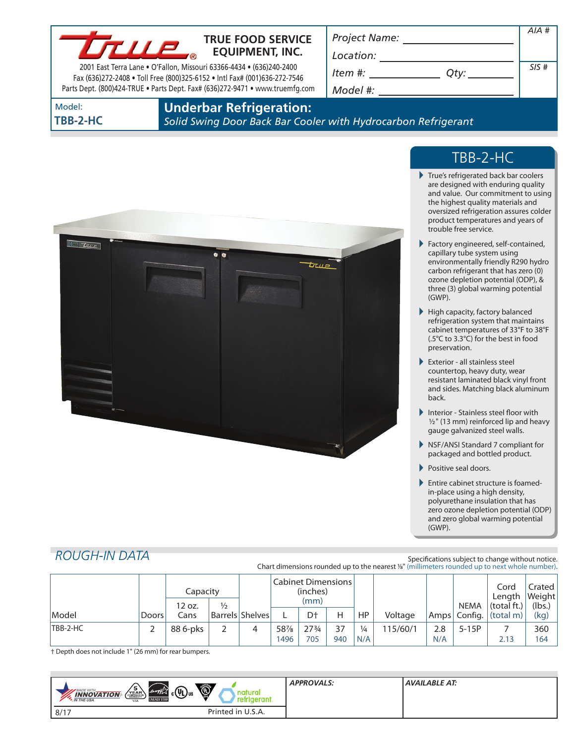

### **TRUE FOOD SERVICE EQUIPMENT, INC.**

2001 East Terra Lane • O'Fallon, Missouri 63366-4434 • (636)240-2400 Fax (636)272-2408 • Toll Free (800)325-6152 • Intl Fax# (001)636-272-7546 Parts Dept. (800)424-TRUE • Parts Dept. Fax# (636)272-9471 • www.truemfg.com *Project Name: Location:*

| Location: |      |      |
|-----------|------|------|
| Item #:   | Otv: | SIS# |
| Model #:  |      |      |

Model: **TBB-2-HC** **Underbar Refrigeration:**

*Solid Swing Door Back Bar Cooler with Hydrocarbon Refrigerant*



# TBB-2-HC

*AIA #*

- True's refrigerated back bar coolers are designed with enduring quality and value. Our commitment to using the highest quality materials and oversized refrigeration assures colder product temperatures and years of trouble free service.
- Factory engineered, self-contained, capillary tube system using environmentally friendly R290 hydro carbon refrigerant that has zero (0) ozone depletion potential (ODP), & three (3) global warming potential (GWP).
- High capacity, factory balanced refrigeration system that maintains cabinet temperatures of 33°F to 38°F (.5°C to 3.3°C) for the best in food preservation.
- Exterior all stainless steel countertop, heavy duty, wear resistant laminated black vinyl front and sides. Matching black aluminum back.
- Interior Stainless steel floor with  $1/2$ " (13 mm) reinforced lip and heavy gauge galvanized steel walls.
- NSF/ANSI Standard 7 compliant for packaged and bottled product.
- Positive seal doors.
- Entire cabinet structure is foamedin-place using a high density, polyurethane insulation that has zero ozone depletion potential (ODP) and zero global warming potential (GWP).

# *ROUGH-IN DATA*

#### Specifications subject to change without notice. Chart dimensions rounded up to the nearest %" (millimeters rounded up to next whole number).

|                 |              | Capacity<br>12 oz. | $\frac{1}{2}$ |                 | <b>Cabinet Dimensions</b><br>(inches)<br>(mm) |                 |     |               |         |     | NEMA         | Cord<br>Length<br>(total ft.) | Crated<br> Weight <br>(lbs. |
|-----------------|--------------|--------------------|---------------|-----------------|-----------------------------------------------|-----------------|-----|---------------|---------|-----|--------------|-------------------------------|-----------------------------|
| Model           | <b>Doors</b> | Cans               |               | Barrels Shelves |                                               | D <sup>+</sup>  | Н   | HP.           | Voltage |     | Amps Config. | $\vert$ (total m)             | (kg)                        |
| <b>TBB-2-HC</b> |              | 88 6-pks           |               |                 | 58%                                           | $27\frac{3}{4}$ | 37  | $\frac{1}{4}$ | 15/60/1 | 2.8 | $5-15P$      |                               | 360                         |
|                 |              |                    |               |                 | 1496                                          | 705             | 940 | N/A           |         | N/A |              | 2.13                          | 164                         |

† Depth does not include 1" (26 mm) for rear bumpers.

| Ó<br>$\sqrt{\frac{5}{\text{YEAR}}}\$<br>$_{c}$ (U <sub>L</sub> ) <sub>us</sub><br>energy<br>MADE WITH_<br>ura<br><b>INNOVATION</b><br><b>ENERGY STAR</b><br>aeranı .<br><b>N</b> THE USA<br><b>USA</b> | <b>APPROVALS:</b> | AVAILABLE AT: |
|--------------------------------------------------------------------------------------------------------------------------------------------------------------------------------------------------------|-------------------|---------------|
| Printed in U.S.A.<br>8/17                                                                                                                                                                              |                   |               |